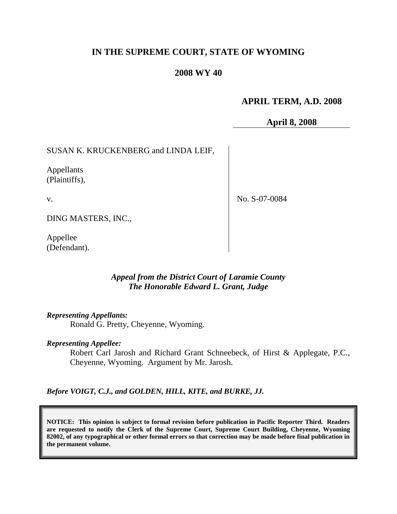# **IN THE SUPREME COURT, STATE OF WYOMING**

# **2008 WY 40**

# **APRIL TERM, A.D. 2008**

**April 8, 2008**

SUSAN K. KRUCKENBERG and LINDA LEIF,

Appellants (Plaintiffs),

v.

No. S-07-0084

DING MASTERS, INC.,

Appellee (Defendant).

## *Appeal from the District Court of Laramie County The Honorable Edward L. Grant, Judge*

*Representing Appellants:*

Ronald G. Pretty, Cheyenne, Wyoming.

#### *Representing Appellee:*

Robert Carl Jarosh and Richard Grant Schneebeck, of Hirst & Applegate, P.C., Cheyenne, Wyoming. Argument by Mr. Jarosh.

*Before VOIGT, C.J., and GOLDEN, HILL, KITE, and BURKE, JJ.*

**NOTICE: This opinion is subject to formal revision before publication in Pacific Reporter Third. Readers are requested to notify the Clerk of the Supreme Court, Supreme Court Building, Cheyenne, Wyoming 82002, of any typographical or other formal errors so that correction may be made before final publication in the permanent volume.**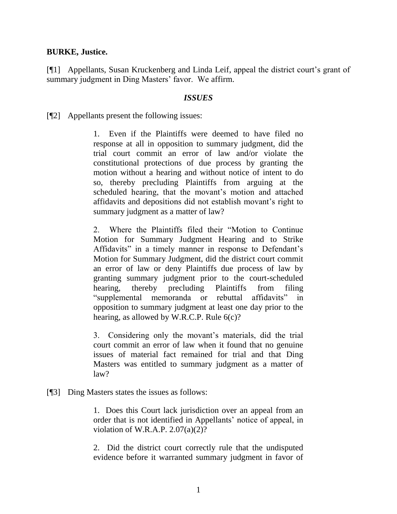## **BURKE, Justice.**

[¶1] Appellants, Susan Kruckenberg and Linda Leif, appeal the district court's grant of summary judgment in Ding Masters' favor. We affirm.

#### *ISSUES*

[¶2] Appellants present the following issues:

1. Even if the Plaintiffs were deemed to have filed no response at all in opposition to summary judgment, did the trial court commit an error of law and/or violate the constitutional protections of due process by granting the motion without a hearing and without notice of intent to do so, thereby precluding Plaintiffs from arguing at the scheduled hearing, that the movant's motion and attached affidavits and depositions did not establish movant's right to summary judgment as a matter of law?

2. Where the Plaintiffs filed their "Motion to Continue Motion for Summary Judgment Hearing and to Strike Affidavits" in a timely manner in response to Defendant's Motion for Summary Judgment, did the district court commit an error of law or deny Plaintiffs due process of law by granting summary judgment prior to the court-scheduled hearing, thereby precluding Plaintiffs from filing "supplemental memoranda or rebuttal affidavits" in opposition to summary judgment at least one day prior to the hearing, as allowed by W.R.C.P. Rule 6(c)?

3. Considering only the movant's materials, did the trial court commit an error of law when it found that no genuine issues of material fact remained for trial and that Ding Masters was entitled to summary judgment as a matter of law?

[¶3] Ding Masters states the issues as follows:

1. Does this Court lack jurisdiction over an appeal from an order that is not identified in Appellants' notice of appeal, in violation of W.R.A.P.  $2.07(a)(2)?$ 

2. Did the district court correctly rule that the undisputed evidence before it warranted summary judgment in favor of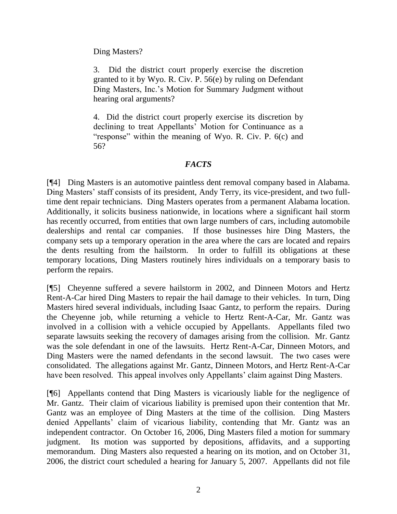Ding Masters?

3. Did the district court properly exercise the discretion granted to it by Wyo. R. Civ. P. 56(e) by ruling on Defendant Ding Masters, Inc.'s Motion for Summary Judgment without hearing oral arguments?

4. Did the district court properly exercise its discretion by declining to treat Appellants' Motion for Continuance as a "response" within the meaning of Wyo. R. Civ. P. 6(c) and 56?

# *FACTS*

[¶4] Ding Masters is an automotive paintless dent removal company based in Alabama. Ding Masters' staff consists of its president, Andy Terry, its vice-president, and two fulltime dent repair technicians. Ding Masters operates from a permanent Alabama location. Additionally, it solicits business nationwide, in locations where a significant hail storm has recently occurred, from entities that own large numbers of cars, including automobile dealerships and rental car companies. If those businesses hire Ding Masters, the company sets up a temporary operation in the area where the cars are located and repairs the dents resulting from the hailstorm. In order to fulfill its obligations at these temporary locations, Ding Masters routinely hires individuals on a temporary basis to perform the repairs.

[¶5] Cheyenne suffered a severe hailstorm in 2002, and Dinneen Motors and Hertz Rent-A-Car hired Ding Masters to repair the hail damage to their vehicles. In turn, Ding Masters hired several individuals, including Isaac Gantz, to perform the repairs. During the Cheyenne job, while returning a vehicle to Hertz Rent-A-Car, Mr. Gantz was involved in a collision with a vehicle occupied by Appellants. Appellants filed two separate lawsuits seeking the recovery of damages arising from the collision. Mr. Gantz was the sole defendant in one of the lawsuits. Hertz Rent-A-Car, Dinneen Motors, and Ding Masters were the named defendants in the second lawsuit. The two cases were consolidated. The allegations against Mr. Gantz, Dinneen Motors, and Hertz Rent-A-Car have been resolved. This appeal involves only Appellants' claim against Ding Masters.

[¶6] Appellants contend that Ding Masters is vicariously liable for the negligence of Mr. Gantz. Their claim of vicarious liability is premised upon their contention that Mr. Gantz was an employee of Ding Masters at the time of the collision. Ding Masters denied Appellants' claim of vicarious liability, contending that Mr. Gantz was an independent contractor. On October 16, 2006, Ding Masters filed a motion for summary judgment. Its motion was supported by depositions, affidavits, and a supporting memorandum. Ding Masters also requested a hearing on its motion, and on October 31, 2006, the district court scheduled a hearing for January 5, 2007. Appellants did not file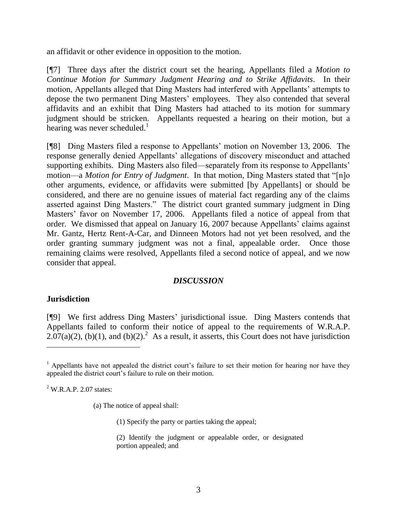an affidavit or other evidence in opposition to the motion.

[¶7] Three days after the district court set the hearing, Appellants filed a *Motion to Continue Motion for Summary Judgment Hearing and to Strike Affidavits*. In their motion, Appellants alleged that Ding Masters had interfered with Appellants' attempts to depose the two permanent Ding Masters' employees. They also contended that several affidavits and an exhibit that Ding Masters had attached to its motion for summary judgment should be stricken. Appellants requested a hearing on their motion, but a hearing was never scheduled.<sup>1</sup>

[¶8] Ding Masters filed a response to Appellants' motion on November 13, 2006. The response generally denied Appellants' allegations of discovery misconduct and attached supporting exhibits. Ding Masters also filed—separately from its response to Appellants' motion—a *Motion for Entry of Judgment*. In that motion, Ding Masters stated that "[n]o other arguments, evidence, or affidavits were submitted [by Appellants] or should be considered, and there are no genuine issues of material fact regarding any of the claims asserted against Ding Masters." The district court granted summary judgment in Ding Masters' favor on November 17, 2006. Appellants filed a notice of appeal from that order. We dismissed that appeal on January 16, 2007 because Appellants' claims against Mr. Gantz, Hertz Rent-A-Car, and Dinneen Motors had not yet been resolved, and the order granting summary judgment was not a final, appealable order. Once those remaining claims were resolved, Appellants filed a second notice of appeal, and we now consider that appeal.

## *DISCUSSION*

## **Jurisdiction**

 $\overline{a}$ 

[¶9] We first address Ding Masters' jurisdictional issue. Ding Masters contends that Appellants failed to conform their notice of appeal to the requirements of W.R.A.P.  $2.07(a)(2)$ , (b)(1), and (b)(2).<sup>2</sup> As a result, it asserts, this Court does not have jurisdiction

 $2$  W.R.A.P. 2.07 states:

(a) The notice of appeal shall:

(1) Specify the party or parties taking the appeal;

(2) Identify the judgment or appealable order, or designated portion appealed; and

 $<sup>1</sup>$  Appellants have not appealed the district court's failure to set their motion for hearing nor have they</sup> appealed the district court's failure to rule on their motion.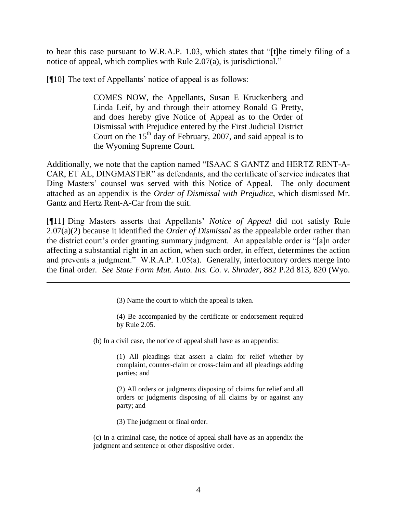to hear this case pursuant to W.R.A.P. 1.03, which states that "[t]he timely filing of a notice of appeal, which complies with Rule 2.07(a), is jurisdictional."

[¶10] The text of Appellants' notice of appeal is as follows:

COMES NOW, the Appellants, Susan E Kruckenberg and Linda Leif, by and through their attorney Ronald G Pretty, and does hereby give Notice of Appeal as to the Order of Dismissal with Prejudice entered by the First Judicial District Court on the  $15<sup>th</sup>$  day of February, 2007, and said appeal is to the Wyoming Supreme Court.

Additionally, we note that the caption named "ISAAC S GANTZ and HERTZ RENT-A-CAR, ET AL, DINGMASTER" as defendants, and the certificate of service indicates that Ding Masters' counsel was served with this Notice of Appeal. The only document attached as an appendix is the *Order of Dismissal with Prejudice*, which dismissed Mr. Gantz and Hertz Rent-A-Car from the suit.

[¶11] Ding Masters asserts that Appellants' *Notice of Appeal* did not satisfy Rule 2.07(a)(2) because it identified the *Order of Dismissal* as the appealable order rather than the district court's order granting summary judgment. An appealable order is "[a]n order affecting a substantial right in an action, when such order, in effect, determines the action and prevents a judgment." W.R.A.P. 1.05(a). Generally, interlocutory orders merge into the final order. *See State Farm Mut. Auto. Ins. Co. v. Shrader*, 882 P.2d 813, 820 (Wyo.

(3) Name the court to which the appeal is taken.

(4) Be accompanied by the certificate or endorsement required by Rule 2.05.

(b) In a civil case, the notice of appeal shall have as an appendix:

(1) All pleadings that assert a claim for relief whether by complaint, counter-claim or cross-claim and all pleadings adding parties; and

(2) All orders or judgments disposing of claims for relief and all orders or judgments disposing of all claims by or against any party; and

(3) The judgment or final order.

(c) In a criminal case, the notice of appeal shall have as an appendix the judgment and sentence or other dispositive order.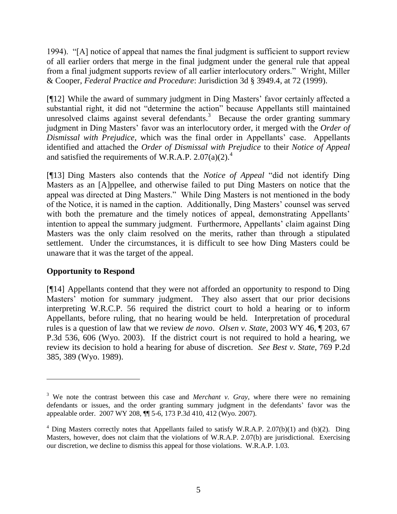1994). "[A] notice of appeal that names the final judgment is sufficient to support review of all earlier orders that merge in the final judgment under the general rule that appeal from a final judgment supports review of all earlier interlocutory orders." Wright, Miller & Cooper, *Federal Practice and Procedure*: Jurisdiction 3d § 3949.4, at 72 (1999).

[¶12] While the award of summary judgment in Ding Masters' favor certainly affected a substantial right, it did not "determine the action" because Appellants still maintained unresolved claims against several defendants.<sup>3</sup> Because the order granting summary judgment in Ding Masters' favor was an interlocutory order, it merged with the *Order of Dismissal with Prejudice*, which was the final order in Appellants' case. Appellants identified and attached the *Order of Dismissal with Prejudice* to their *Notice of Appeal* and satisfied the requirements of W.R.A.P.  $2.07(a)(2)^4$ .

[¶13] Ding Masters also contends that the *Notice of Appeal* "did not identify Ding Masters as an [A]ppellee, and otherwise failed to put Ding Masters on notice that the appeal was directed at Ding Masters." While Ding Masters is not mentioned in the body of the Notice, it is named in the caption. Additionally, Ding Masters' counsel was served with both the premature and the timely notices of appeal, demonstrating Appellants' intention to appeal the summary judgment. Furthermore, Appellants' claim against Ding Masters was the only claim resolved on the merits, rather than through a stipulated settlement. Under the circumstances, it is difficult to see how Ding Masters could be unaware that it was the target of the appeal.

# **Opportunity to Respond**

[¶14] Appellants contend that they were not afforded an opportunity to respond to Ding Masters' motion for summary judgment. They also assert that our prior decisions interpreting W.R.C.P. 56 required the district court to hold a hearing or to inform Appellants, before ruling, that no hearing would be held. Interpretation of procedural rules is a question of law that we review *de novo*. *Olsen v. State*, 2003 WY 46, ¶ 203, 67 P.3d 536, 606 (Wyo. 2003). If the district court is not required to hold a hearing, we review its decision to hold a hearing for abuse of discretion. *See Best v. State*, 769 P.2d 385, 389 (Wyo. 1989).

<sup>&</sup>lt;sup>3</sup> We note the contrast between this case and *Merchant v. Gray*, where there were no remaining defendants or issues, and the order granting summary judgment in the defendants' favor was the appealable order. 2007 WY 208, ¶¶ 5-6, 173 P.3d 410, 412 (Wyo. 2007).

 $4$  Ding Masters correctly notes that Appellants failed to satisfy W.R.A.P. 2.07(b)(1) and (b)(2). Ding Masters, however, does not claim that the violations of W.R.A.P. 2.07(b) are jurisdictional. Exercising our discretion, we decline to dismiss this appeal for those violations. W.R.A.P. 1.03.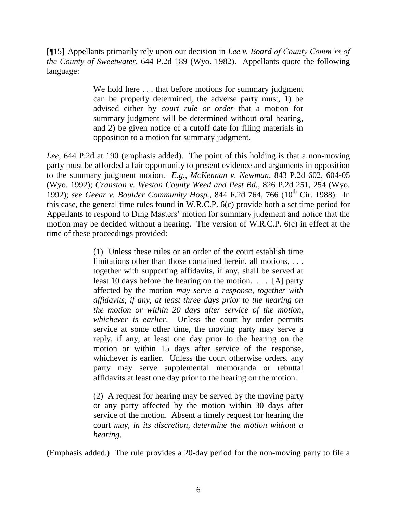[¶15] Appellants primarily rely upon our decision in *Lee v. Board of County Comm'rs of the County of Sweetwater*, 644 P.2d 189 (Wyo. 1982). Appellants quote the following language:

> We hold here ... that before motions for summary judgment can be properly determined, the adverse party must, 1) be advised either by *court rule or order* that a motion for summary judgment will be determined without oral hearing, and 2) be given notice of a cutoff date for filing materials in opposition to a motion for summary judgment.

*Lee*, 644 P.2d at 190 (emphasis added). The point of this holding is that a non-moving party must be afforded a fair opportunity to present evidence and arguments in opposition to the summary judgment motion. *E.g.*, *McKennan v. Newman*, 843 P.2d 602, 604-05 (Wyo. 1992); *Cranston v. Weston County Weed and Pest Bd.*, 826 P.2d 251, 254 (Wyo. 1992); see Geear v. Boulder Community Hosp., 844 F.2d 764, 766 (10<sup>th</sup> Cir. 1988). In this case, the general time rules found in W.R.C.P. 6(c) provide both a set time period for Appellants to respond to Ding Masters' motion for summary judgment and notice that the motion may be decided without a hearing. The version of W.R.C.P. 6(c) in effect at the time of these proceedings provided:

> (1) Unless these rules or an order of the court establish time limitations other than those contained herein, all motions, . . . together with supporting affidavits, if any, shall be served at least 10 days before the hearing on the motion. . . . [A] party affected by the motion *may serve a response, together with affidavits, if any, at least three days prior to the hearing on the motion or within 20 days after service of the motion*, *whichever is earlier*. Unless the court by order permits service at some other time, the moving party may serve a reply, if any, at least one day prior to the hearing on the motion or within 15 days after service of the response, whichever is earlier. Unless the court otherwise orders, any party may serve supplemental memoranda or rebuttal affidavits at least one day prior to the hearing on the motion.

> (2) A request for hearing may be served by the moving party or any party affected by the motion within 30 days after service of the motion. Absent a timely request for hearing the court *may, in its discretion, determine the motion without a hearing*.

(Emphasis added.) The rule provides a 20-day period for the non-moving party to file a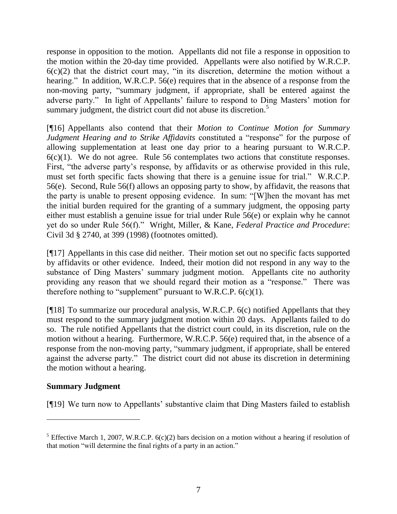response in opposition to the motion. Appellants did not file a response in opposition to the motion within the 20-day time provided. Appellants were also notified by W.R.C.P.  $6(c)(2)$  that the district court may, "in its discretion, determine the motion without a hearing." In addition, W.R.C.P. 56(e) requires that in the absence of a response from the non-moving party, "summary judgment, if appropriate, shall be entered against the adverse party." In light of Appellants' failure to respond to Ding Masters' motion for summary judgment, the district court did not abuse its discretion.<sup>5</sup>

[¶16] Appellants also contend that their *Motion to Continue Motion for Summary Judgment Hearing and to Strike Affidavits* constituted a "response" for the purpose of allowing supplementation at least one day prior to a hearing pursuant to W.R.C.P.  $6(c)(1)$ . We do not agree. Rule 56 contemplates two actions that constitute responses. First, "the adverse party's response, by affidavits or as otherwise provided in this rule, must set forth specific facts showing that there is a genuine issue for trial." W.R.C.P. 56(e). Second, Rule 56(f) allows an opposing party to show, by affidavit, the reasons that the party is unable to present opposing evidence. In sum: "[W]hen the movant has met the initial burden required for the granting of a summary judgment, the opposing party either must establish a genuine issue for trial under Rule 56(e) or explain why he cannot yet do so under Rule 56(f)." Wright, Miller, & Kane, *Federal Practice and Procedure*: Civil 3d § 2740, at 399 (1998) (footnotes omitted).

[¶17] Appellants in this case did neither. Their motion set out no specific facts supported by affidavits or other evidence. Indeed, their motion did not respond in any way to the substance of Ding Masters' summary judgment motion. Appellants cite no authority providing any reason that we should regard their motion as a "response." There was therefore nothing to "supplement" pursuant to W.R.C.P.  $6(c)(1)$ .

[¶18] To summarize our procedural analysis, W.R.C.P. 6(c) notified Appellants that they must respond to the summary judgment motion within 20 days. Appellants failed to do so. The rule notified Appellants that the district court could, in its discretion, rule on the motion without a hearing. Furthermore, W.R.C.P. 56(e) required that, in the absence of a response from the non-moving party, "summary judgment, if appropriate, shall be entered against the adverse party." The district court did not abuse its discretion in determining the motion without a hearing.

## **Summary Judgment**

[¶19] We turn now to Appellants' substantive claim that Ding Masters failed to establish

<sup>&</sup>lt;sup>5</sup> Effective March 1, 2007, W.R.C.P.  $6(c)(2)$  bars decision on a motion without a hearing if resolution of that motion "will determine the final rights of a party in an action."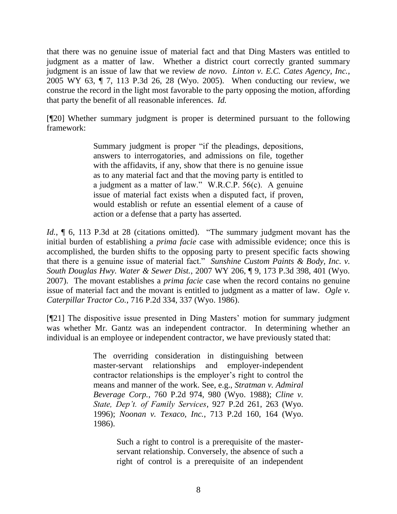that there was no genuine issue of material fact and that Ding Masters was entitled to judgment as a matter of law. Whether a district court correctly granted summary judgment is an issue of law that we review *de novo*. *Linton v. E.C. Cates Agency, Inc.*, 2005 WY 63, ¶ 7, 113 P.3d 26, 28 (Wyo. 2005). When conducting our review, we construe the record in the light most favorable to the party opposing the motion, affording that party the benefit of all reasonable inferences. *Id.*

[¶20] Whether summary judgment is proper is determined pursuant to the following framework:

> Summary judgment is proper "if the pleadings, depositions, answers to interrogatories, and admissions on file, together with the affidavits, if any, show that there is no genuine issue as to any material fact and that the moving party is entitled to a judgment as a matter of law." W.R.C.P. 56(c). A genuine issue of material fact exists when a disputed fact, if proven, would establish or refute an essential element of a cause of action or a defense that a party has asserted.

*Id.*, **[6, 113 P.3d at 28 (citations omitted).** "The summary judgment movant has the initial burden of establishing a *prima facie* case with admissible evidence; once this is accomplished, the burden shifts to the opposing party to present specific facts showing that there is a genuine issue of material fact." *Sunshine Custom Paints & Body, Inc. v. South Douglas Hwy. Water & Sewer Dist.*, 2007 WY 206, ¶ 9, 173 P.3d 398, 401 (Wyo. 2007). The movant establishes a *prima facie* case when the record contains no genuine issue of material fact and the movant is entitled to judgment as a matter of law. *Ogle v. Caterpillar Tractor Co.*, 716 P.2d 334, 337 (Wyo. 1986).

[¶21] The dispositive issue presented in Ding Masters' motion for summary judgment was whether Mr. Gantz was an independent contractor. In determining whether an individual is an employee or independent contractor, we have previously stated that:

> The overriding consideration in distinguishing between master-servant relationships and employer-independent contractor relationships is the employer's right to control the means and manner of the work. See, e.g., *Stratman v. Admiral Beverage Corp.*, 760 P.2d 974, 980 (Wyo. 1988); *Cline v. State, Dep't. of Family Services*, 927 P.2d 261, 263 (Wyo. 1996); *Noonan v. Texaco, Inc.*, 713 P.2d 160, 164 (Wyo. 1986).

> > Such a right to control is a prerequisite of the masterservant relationship. Conversely, the absence of such a right of control is a prerequisite of an independent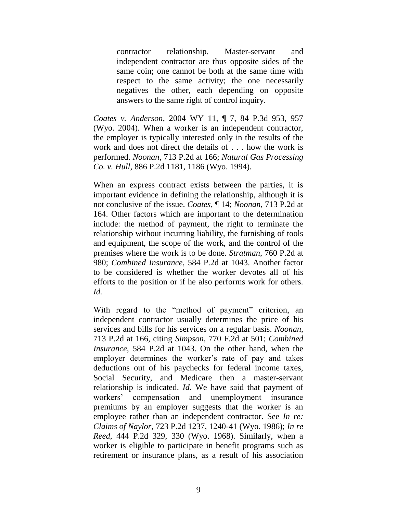contractor relationship. Master-servant and independent contractor are thus opposite sides of the same coin; one cannot be both at the same time with respect to the same activity; the one necessarily negatives the other, each depending on opposite answers to the same right of control inquiry.

*Coates v. Anderson*, 2004 WY 11, ¶ 7, 84 P.3d 953, 957 (Wyo. 2004). When a worker is an independent contractor, the employer is typically interested only in the results of the work and does not direct the details of . . . how the work is performed. *Noonan*, 713 P.2d at 166; *Natural Gas Processing Co. v. Hull*, 886 P.2d 1181, 1186 (Wyo. 1994).

When an express contract exists between the parties, it is important evidence in defining the relationship, although it is not conclusive of the issue. *Coates*, ¶ 14; *Noonan*, 713 P.2d at 164. Other factors which are important to the determination include: the method of payment, the right to terminate the relationship without incurring liability, the furnishing of tools and equipment, the scope of the work, and the control of the premises where the work is to be done. *Stratman*, 760 P.2d at 980; *Combined Insurance*, 584 P.2d at 1043. Another factor to be considered is whether the worker devotes all of his efforts to the position or if he also performs work for others. *Id.*

With regard to the "method of payment" criterion, an independent contractor usually determines the price of his services and bills for his services on a regular basis. *Noonan*, 713 P.2d at 166, citing *Simpson*, 770 F.2d at 501; *Combined Insurance*, 584 P.2d at 1043. On the other hand, when the employer determines the worker's rate of pay and takes deductions out of his paychecks for federal income taxes, Social Security, and Medicare then a master-servant relationship is indicated. *Id.* We have said that payment of workers' compensation and unemployment insurance premiums by an employer suggests that the worker is an employee rather than an independent contractor. See *In re: Claims of Naylor*, 723 P.2d 1237, 1240-41 (Wyo. 1986); *In re Reed*, 444 P.2d 329, 330 (Wyo. 1968). Similarly, when a worker is eligible to participate in benefit programs such as retirement or insurance plans, as a result of his association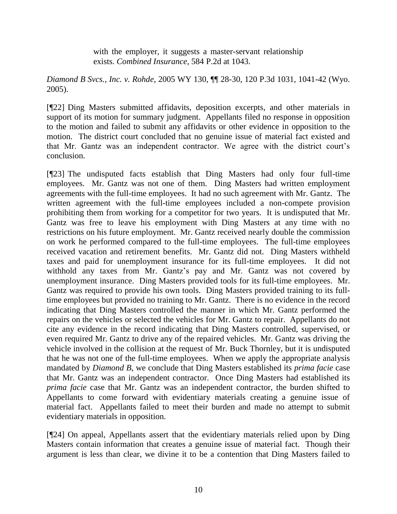with the employer, it suggests a master-servant relationship exists. *Combined Insurance*, 584 P.2d at 1043.

*Diamond B Svcs., Inc. v. Rohde*, 2005 WY 130, ¶¶ 28-30, 120 P.3d 1031, 1041-42 (Wyo. 2005).

[¶22] Ding Masters submitted affidavits, deposition excerpts, and other materials in support of its motion for summary judgment. Appellants filed no response in opposition to the motion and failed to submit any affidavits or other evidence in opposition to the motion. The district court concluded that no genuine issue of material fact existed and that Mr. Gantz was an independent contractor. We agree with the district court's conclusion.

[¶23] The undisputed facts establish that Ding Masters had only four full-time employees. Mr. Gantz was not one of them. Ding Masters had written employment agreements with the full-time employees. It had no such agreement with Mr. Gantz. The written agreement with the full-time employees included a non-compete provision prohibiting them from working for a competitor for two years. It is undisputed that Mr. Gantz was free to leave his employment with Ding Masters at any time with no restrictions on his future employment. Mr. Gantz received nearly double the commission on work he performed compared to the full-time employees. The full-time employees received vacation and retirement benefits. Mr. Gantz did not. Ding Masters withheld taxes and paid for unemployment insurance for its full-time employees. It did not withhold any taxes from Mr. Gantz's pay and Mr. Gantz was not covered by unemployment insurance. Ding Masters provided tools for its full-time employees. Mr. Gantz was required to provide his own tools. Ding Masters provided training to its fulltime employees but provided no training to Mr. Gantz. There is no evidence in the record indicating that Ding Masters controlled the manner in which Mr. Gantz performed the repairs on the vehicles or selected the vehicles for Mr. Gantz to repair. Appellants do not cite any evidence in the record indicating that Ding Masters controlled, supervised, or even required Mr. Gantz to drive any of the repaired vehicles. Mr. Gantz was driving the vehicle involved in the collision at the request of Mr. Buck Thornley, but it is undisputed that he was not one of the full-time employees. When we apply the appropriate analysis mandated by *Diamond B*, we conclude that Ding Masters established its *prima facie* case that Mr. Gantz was an independent contractor. Once Ding Masters had established its *prima facie* case that Mr. Gantz was an independent contractor, the burden shifted to Appellants to come forward with evidentiary materials creating a genuine issue of material fact. Appellants failed to meet their burden and made no attempt to submit evidentiary materials in opposition.

[¶24] On appeal, Appellants assert that the evidentiary materials relied upon by Ding Masters contain information that creates a genuine issue of material fact. Though their argument is less than clear, we divine it to be a contention that Ding Masters failed to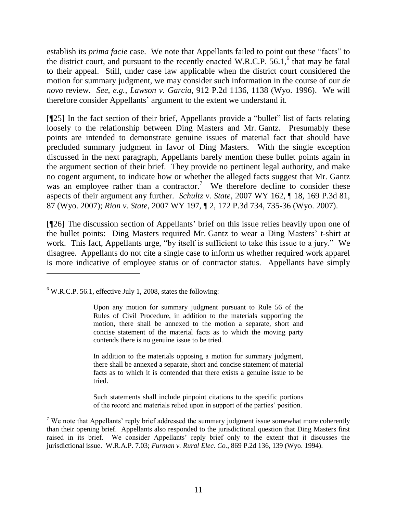establish its *prima facie* case. We note that Appellants failed to point out these "facts" to the district court, and pursuant to the recently enacted W.R.C.P.  $56.1$ ,  $6$  that may be fatal to their appeal. Still, under case law applicable when the district court considered the motion for summary judgment, we may consider such information in the course of our *de novo* review. *See*, *e.g.*, *Lawson v. Garcia*, 912 P.2d 1136, 1138 (Wyo. 1996). We will therefore consider Appellants' argument to the extent we understand it.

[¶25] In the fact section of their brief, Appellants provide a "bullet" list of facts relating loosely to the relationship between Ding Masters and Mr. Gantz. Presumably these points are intended to demonstrate genuine issues of material fact that should have precluded summary judgment in favor of Ding Masters. With the single exception discussed in the next paragraph, Appellants barely mention these bullet points again in the argument section of their brief. They provide no pertinent legal authority, and make no cogent argument, to indicate how or whether the alleged facts suggest that Mr. Gantz was an employee rather than a contractor.<sup>7</sup> We therefore decline to consider these aspects of their argument any further. *Schultz v. State*, 2007 WY 162, ¶ 18, 169 P.3d 81, 87 (Wyo. 2007); *Rion v. State*, 2007 WY 197, ¶ 2, 172 P.3d 734, 735-36 (Wyo. 2007).

[¶26] The discussion section of Appellants' brief on this issue relies heavily upon one of the bullet points: Ding Masters required Mr. Gantz to wear a Ding Masters' t-shirt at work. This fact, Appellants urge, "by itself is sufficient to take this issue to a jury." We disagree. Appellants do not cite a single case to inform us whether required work apparel is more indicative of employee status or of contractor status. Appellants have simply

 $6$  W.R.C.P. 56.1, effective July 1, 2008, states the following:

In addition to the materials opposing a motion for summary judgment, there shall be annexed a separate, short and concise statement of material facts as to which it is contended that there exists a genuine issue to be tried.

Such statements shall include pinpoint citations to the specific portions of the record and materials relied upon in support of the parties' position.

<sup>7</sup> We note that Appellants' reply brief addressed the summary judgment issue somewhat more coherently than their opening brief. Appellants also responded to the jurisdictional question that Ding Masters first raised in its brief. We consider Appellants' reply brief only to the extent that it discusses the jurisdictional issue. W.R.A.P. 7.03; *Furman v. Rural Elec. Co.*, 869 P.2d 136, 139 (Wyo. 1994).

Upon any motion for summary judgment pursuant to Rule 56 of the Rules of Civil Procedure, in addition to the materials supporting the motion, there shall be annexed to the motion a separate, short and concise statement of the material facts as to which the moving party contends there is no genuine issue to be tried.